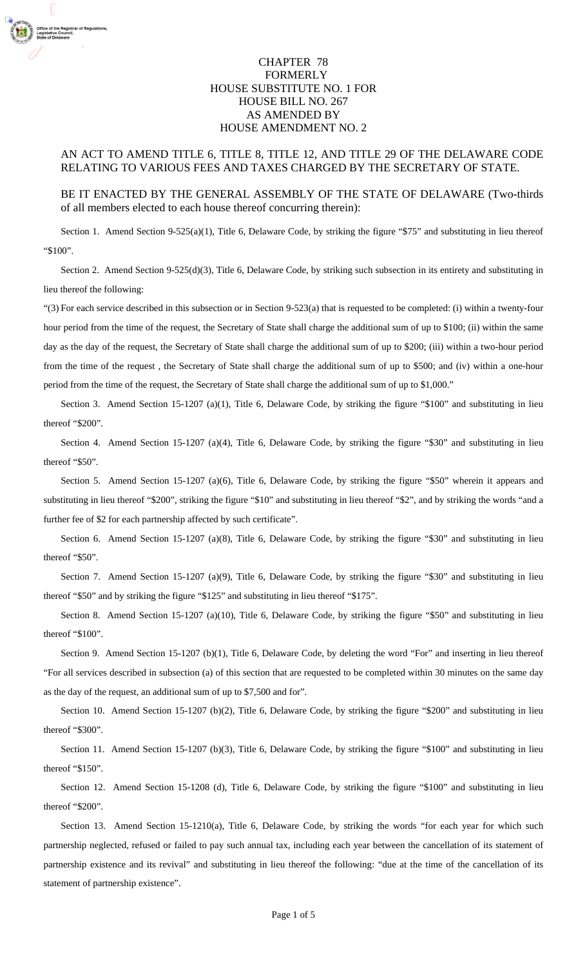## CHAPTER 78 FORMERLY HOUSE SUBSTITUTE NO. 1 FOR HOUSE BILL NO. 267 AS AMENDED BY HOUSE AMENDMENT NO. 2

## AN ACT TO AMEND TITLE 6, TITLE 8, TITLE 12, AND TITLE 29 OF THE DELAWARE CODE RELATING TO VARIOUS FEES AND TAXES CHARGED BY THE SECRETARY OF STATE.

## BE IT ENACTED BY THE GENERAL ASSEMBLY OF THE STATE OF DELAWARE (Two-thirds of all members elected to each house thereof concurring therein):

Section 1. Amend Section 9-525(a)(1), Title 6, Delaware Code, by striking the figure "\$75" and substituting in lieu thereof "\$100".

 Section 2. Amend Section 9-525(d)(3), Title 6, Delaware Code, by striking such subsection in its entirety and substituting in lieu thereof the following:

"(3) For each service described in this subsection or in Section 9-523(a) that is requested to be completed: (i) within a twenty-four hour period from the time of the request, the Secretary of State shall charge the additional sum of up to \$100; (ii) within the same day as the day of the request, the Secretary of State shall charge the additional sum of up to \$200; (iii) within a two-hour period from the time of the request , the Secretary of State shall charge the additional sum of up to \$500; and (iv) within a one-hour period from the time of the request, the Secretary of State shall charge the additional sum of up to \$1,000."

 Section 3. Amend Section 15-1207 (a)(1), Title 6, Delaware Code, by striking the figure "\$100" and substituting in lieu thereof "\$200".

Section 4. Amend Section 15-1207 (a)(4), Title 6, Delaware Code, by striking the figure "\$30" and substituting in lieu thereof "\$50".

 Section 5. Amend Section 15-1207 (a)(6), Title 6, Delaware Code, by striking the figure "\$50" wherein it appears and substituting in lieu thereof "\$200", striking the figure "\$10" and substituting in lieu thereof "\$2", and by striking the words "and a further fee of \$2 for each partnership affected by such certificate".

 Section 6. Amend Section 15-1207 (a)(8), Title 6, Delaware Code, by striking the figure "\$30" and substituting in lieu thereof "\$50".

Section 7. Amend Section 15-1207 (a)(9), Title 6, Delaware Code, by striking the figure "\$30" and substituting in lieu thereof "\$50" and by striking the figure "\$125" and substituting in lieu thereof "\$175".

Section 8. Amend Section 15-1207 (a)(10), Title 6, Delaware Code, by striking the figure "\$50" and substituting in lieu thereof "\$100".

 Section 9. Amend Section 15-1207 (b)(1), Title 6, Delaware Code, by deleting the word "For" and inserting in lieu thereof "For all services described in subsection (a) of this section that are requested to be completed within 30 minutes on the same day as the day of the request, an additional sum of up to \$7,500 and for".

 Section 10. Amend Section 15-1207 (b)(2), Title 6, Delaware Code, by striking the figure "\$200" and substituting in lieu thereof "\$300".

 Section 11. Amend Section 15-1207 (b)(3), Title 6, Delaware Code, by striking the figure "\$100" and substituting in lieu thereof "\$150".

 Section 12. Amend Section 15-1208 (d), Title 6, Delaware Code, by striking the figure "\$100" and substituting in lieu thereof "\$200".

Section 13. Amend Section 15-1210(a), Title 6, Delaware Code, by striking the words "for each year for which such partnership neglected, refused or failed to pay such annual tax, including each year between the cancellation of its statement of partnership existence and its revival" and substituting in lieu thereof the following: "due at the time of the cancellation of its statement of partnership existence".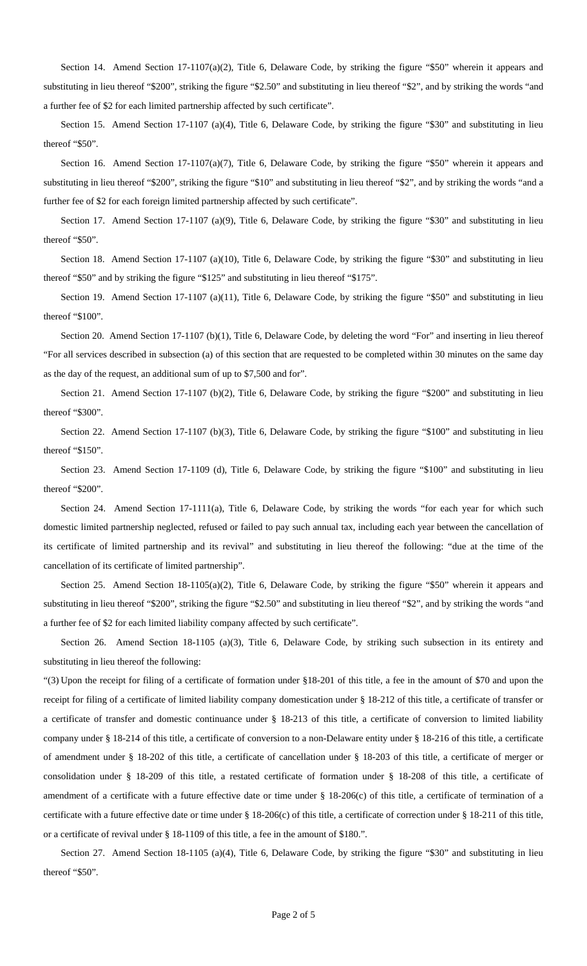Section 14. Amend Section 17-1107(a)(2), Title 6, Delaware Code, by striking the figure "\$50" wherein it appears and substituting in lieu thereof "\$200", striking the figure "\$2.50" and substituting in lieu thereof "\$2", and by striking the words "and a further fee of \$2 for each limited partnership affected by such certificate".

Section 15. Amend Section 17-1107 (a)(4), Title 6, Delaware Code, by striking the figure "\$30" and substituting in lieu thereof "\$50".

 Section 16. Amend Section 17-1107(a)(7), Title 6, Delaware Code, by striking the figure "\$50" wherein it appears and substituting in lieu thereof "\$200", striking the figure "\$10" and substituting in lieu thereof "\$2", and by striking the words "and a further fee of \$2 for each foreign limited partnership affected by such certificate".

Section 17. Amend Section 17-1107 (a)(9), Title 6, Delaware Code, by striking the figure "\$30" and substituting in lieu thereof "\$50".

 Section 18. Amend Section 17-1107 (a)(10), Title 6, Delaware Code, by striking the figure "\$30" and substituting in lieu thereof "\$50" and by striking the figure "\$125" and substituting in lieu thereof "\$175".

 Section 19. Amend Section 17-1107 (a)(11), Title 6, Delaware Code, by striking the figure "\$50" and substituting in lieu thereof "\$100".

Section 20. Amend Section 17-1107 (b)(1), Title 6, Delaware Code, by deleting the word "For" and inserting in lieu thereof "For all services described in subsection (a) of this section that are requested to be completed within 30 minutes on the same day as the day of the request, an additional sum of up to \$7,500 and for".

 Section 21. Amend Section 17-1107 (b)(2), Title 6, Delaware Code, by striking the figure "\$200" and substituting in lieu thereof "\$300".

Section 22. Amend Section 17-1107 (b)(3), Title 6, Delaware Code, by striking the figure "\$100" and substituting in lieu thereof "\$150".

 Section 23. Amend Section 17-1109 (d), Title 6, Delaware Code, by striking the figure "\$100" and substituting in lieu thereof "\$200".

Section 24. Amend Section 17-1111(a), Title 6, Delaware Code, by striking the words "for each year for which such domestic limited partnership neglected, refused or failed to pay such annual tax, including each year between the cancellation of its certificate of limited partnership and its revival" and substituting in lieu thereof the following: "due at the time of the cancellation of its certificate of limited partnership".

Section 25. Amend Section 18-1105(a)(2), Title 6, Delaware Code, by striking the figure "\$50" wherein it appears and substituting in lieu thereof "\$200", striking the figure "\$2.50" and substituting in lieu thereof "\$2", and by striking the words "and a further fee of \$2 for each limited liability company affected by such certificate".

Section 26. Amend Section 18-1105 (a)(3), Title 6, Delaware Code, by striking such subsection in its entirety and substituting in lieu thereof the following:

"(3) Upon the receipt for filing of a certificate of formation under §18-201 of this title, a fee in the amount of \$70 and upon the receipt for filing of a certificate of limited liability company domestication under § 18-212 of this title, a certificate of transfer or a certificate of transfer and domestic continuance under § 18-213 of this title, a certificate of conversion to limited liability company under § 18-214 of this title, a certificate of conversion to a non-Delaware entity under § 18-216 of this title, a certificate of amendment under § 18-202 of this title, a certificate of cancellation under § 18-203 of this title, a certificate of merger or consolidation under § 18-209 of this title, a restated certificate of formation under § 18-208 of this title, a certificate of amendment of a certificate with a future effective date or time under § 18-206(c) of this title, a certificate of termination of a certificate with a future effective date or time under § 18-206(c) of this title, a certificate of correction under § 18-211 of this title, or a certificate of revival under § 18-1109 of this title, a fee in the amount of \$180.".

 Section 27. Amend Section 18-1105 (a)(4), Title 6, Delaware Code, by striking the figure "\$30" and substituting in lieu thereof "\$50".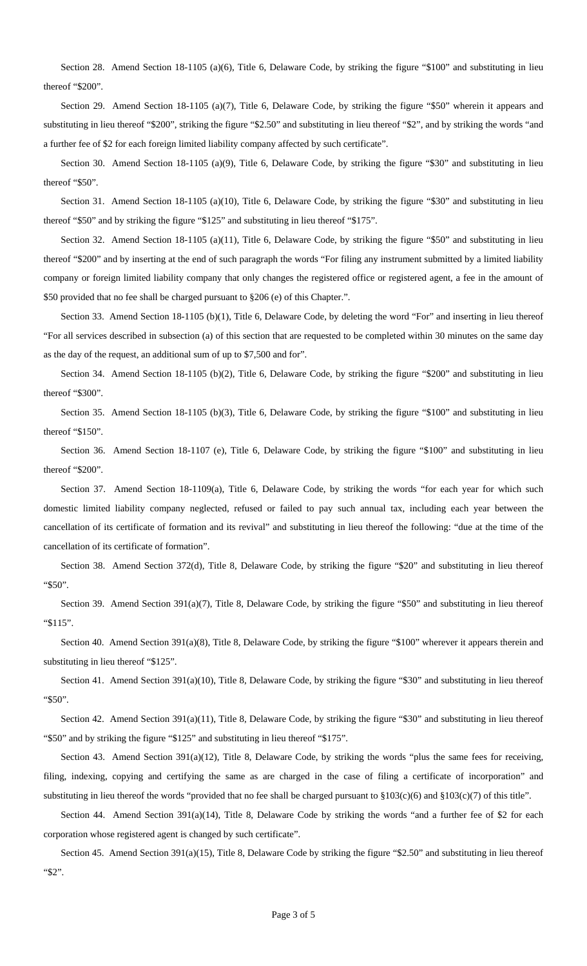Section 28. Amend Section 18-1105 (a)(6), Title 6, Delaware Code, by striking the figure "\$100" and substituting in lieu thereof "\$200".

Section 29. Amend Section 18-1105 (a)(7), Title 6, Delaware Code, by striking the figure "\$50" wherein it appears and substituting in lieu thereof "\$200", striking the figure "\$2.50" and substituting in lieu thereof "\$2", and by striking the words "and a further fee of \$2 for each foreign limited liability company affected by such certificate".

 Section 30. Amend Section 18-1105 (a)(9), Title 6, Delaware Code, by striking the figure "\$30" and substituting in lieu thereof "\$50".

Section 31. Amend Section 18-1105 (a)(10), Title 6, Delaware Code, by striking the figure "\$30" and substituting in lieu thereof "\$50" and by striking the figure "\$125" and substituting in lieu thereof "\$175".

 Section 32. Amend Section 18-1105 (a)(11), Title 6, Delaware Code, by striking the figure "\$50" and substituting in lieu thereof "\$200" and by inserting at the end of such paragraph the words "For filing any instrument submitted by a limited liability company or foreign limited liability company that only changes the registered office or registered agent, a fee in the amount of \$50 provided that no fee shall be charged pursuant to §206 (e) of this Chapter.".

 Section 33. Amend Section 18-1105 (b)(1), Title 6, Delaware Code, by deleting the word "For" and inserting in lieu thereof "For all services described in subsection (a) of this section that are requested to be completed within 30 minutes on the same day as the day of the request, an additional sum of up to \$7,500 and for".

Section 34. Amend Section 18-1105 (b)(2), Title 6, Delaware Code, by striking the figure "\$200" and substituting in lieu thereof "\$300".

Section 35. Amend Section 18-1105 (b)(3), Title 6, Delaware Code, by striking the figure "\$100" and substituting in lieu thereof "\$150".

 Section 36. Amend Section 18-1107 (e), Title 6, Delaware Code, by striking the figure "\$100" and substituting in lieu thereof "\$200".

Section 37. Amend Section 18-1109(a), Title 6, Delaware Code, by striking the words "for each year for which such domestic limited liability company neglected, refused or failed to pay such annual tax, including each year between the cancellation of its certificate of formation and its revival" and substituting in lieu thereof the following: "due at the time of the cancellation of its certificate of formation".

 Section 38. Amend Section 372(d), Title 8, Delaware Code, by striking the figure "\$20" and substituting in lieu thereof "\$50".

Section 39. Amend Section 391(a)(7), Title 8, Delaware Code, by striking the figure "\$50" and substituting in lieu thereof "\$115".

 Section 40. Amend Section 391(a)(8), Title 8, Delaware Code, by striking the figure "\$100" wherever it appears therein and substituting in lieu thereof "\$125".

 Section 41. Amend Section 391(a)(10), Title 8, Delaware Code, by striking the figure "\$30" and substituting in lieu thereof "\$50".

 Section 42. Amend Section 391(a)(11), Title 8, Delaware Code, by striking the figure "\$30" and substituting in lieu thereof "\$50" and by striking the figure "\$125" and substituting in lieu thereof "\$175".

Section 43. Amend Section 391(a)(12), Title 8, Delaware Code, by striking the words "plus the same fees for receiving, filing, indexing, copying and certifying the same as are charged in the case of filing a certificate of incorporation" and substituting in lieu thereof the words "provided that no fee shall be charged pursuant to §103(c)(6) and §103(c)(7) of this title".

Section 44. Amend Section 391(a)(14), Title 8, Delaware Code by striking the words "and a further fee of \$2 for each corporation whose registered agent is changed by such certificate".

 Section 45. Amend Section 391(a)(15), Title 8, Delaware Code by striking the figure "\$2.50" and substituting in lieu thereof "\$2".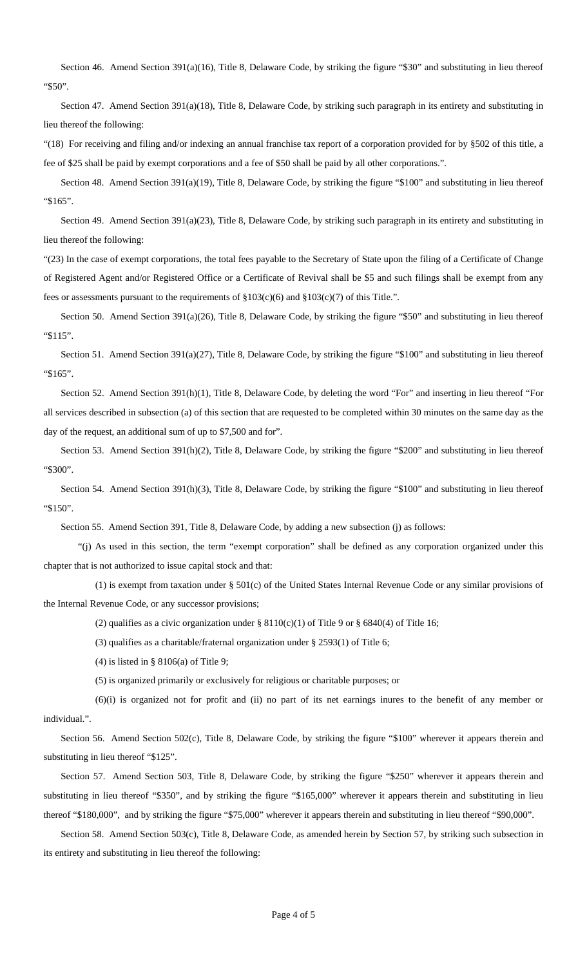Section 46. Amend Section 391(a)(16), Title 8, Delaware Code, by striking the figure "\$30" and substituting in lieu thereof "\$50".

Section 47. Amend Section 391(a)(18), Title 8, Delaware Code, by striking such paragraph in its entirety and substituting in lieu thereof the following:

"(18) For receiving and filing and/or indexing an annual franchise tax report of a corporation provided for by §502 of this title, a fee of \$25 shall be paid by exempt corporations and a fee of \$50 shall be paid by all other corporations.".

Section 48. Amend Section 391(a)(19), Title 8, Delaware Code, by striking the figure "\$100" and substituting in lieu thereof "\$165".

Section 49. Amend Section 391(a)(23), Title 8, Delaware Code, by striking such paragraph in its entirety and substituting in lieu thereof the following:

"(23) In the case of exempt corporations, the total fees payable to the Secretary of State upon the filing of a Certificate of Change of Registered Agent and/or Registered Office or a Certificate of Revival shall be \$5 and such filings shall be exempt from any fees or assessments pursuant to the requirements of §103(c)(6) and §103(c)(7) of this Title.".

 Section 50. Amend Section 391(a)(26), Title 8, Delaware Code, by striking the figure "\$50" and substituting in lieu thereof "\$115".

Section 51. Amend Section 391(a)(27), Title 8, Delaware Code, by striking the figure "\$100" and substituting in lieu thereof "\$165".

 Section 52. Amend Section 391(h)(1), Title 8, Delaware Code, by deleting the word "For" and inserting in lieu thereof "For all services described in subsection (a) of this section that are requested to be completed within 30 minutes on the same day as the day of the request, an additional sum of up to \$7,500 and for".

 Section 53. Amend Section 391(h)(2), Title 8, Delaware Code, by striking the figure "\$200" and substituting in lieu thereof "\$300".

Section 54. Amend Section 391(h)(3), Title 8, Delaware Code, by striking the figure "\$100" and substituting in lieu thereof "\$150".

Section 55. Amend Section 391, Title 8, Delaware Code, by adding a new subsection (j) as follows:

 "(j) As used in this section, the term "exempt corporation" shall be defined as any corporation organized under this chapter that is not authorized to issue capital stock and that:

 (1) is exempt from taxation under § 501(c) of the United States Internal Revenue Code or any similar provisions of the Internal Revenue Code, or any successor provisions;

(2) qualifies as a civic organization under  $\S 8110(c)(1)$  of Title 9 or  $\S 6840(4)$  of Title 16;

(3) qualifies as a charitable/fraternal organization under § 2593(1) of Title 6;

(4) is listed in § 8106(a) of Title 9;

(5) is organized primarily or exclusively for religious or charitable purposes; or

 (6)(i) is organized not for profit and (ii) no part of its net earnings inures to the benefit of any member or individual.".

 Section 56. Amend Section 502(c), Title 8, Delaware Code, by striking the figure "\$100" wherever it appears therein and substituting in lieu thereof "\$125".

 Section 57. Amend Section 503, Title 8, Delaware Code, by striking the figure "\$250" wherever it appears therein and substituting in lieu thereof "\$350", and by striking the figure "\$165,000" wherever it appears therein and substituting in lieu thereof "\$180,000", and by striking the figure "\$75,000" wherever it appears therein and substituting in lieu thereof "\$90,000".

 Section 58. Amend Section 503(c), Title 8, Delaware Code, as amended herein by Section 57, by striking such subsection in its entirety and substituting in lieu thereof the following: